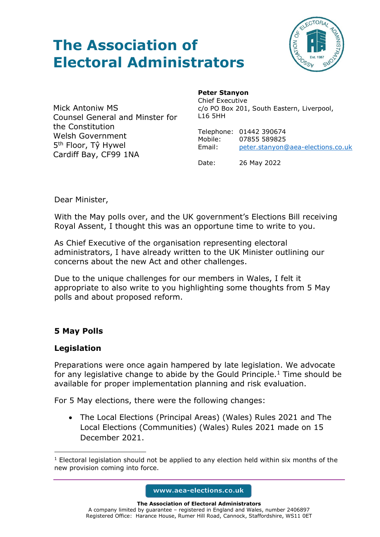# **The Association of Electoral Administrators**



Mick Antoniw MS Counsel General and Minster for the Constitution Welsh Government 5<sup>th</sup> Floor, Tŷ Hywel Cardiff Bay, CF99 1NA

#### **Peter Stanyon**

Chief Executive c/o PO Box 201, South Eastern, Liverpool, L16 5HH

Telephone: 01442 390674 Mobile: 07855 589825 Email: [peter.stanyon@aea-elections.co.uk](mailto:peter.stanyon@aea-elections.co.uk)

Date: 26 May 2022

Dear Minister,

With the May polls over, and the UK government's Elections Bill receiving Royal Assent, I thought this was an opportune time to write to you.

As Chief Executive of the organisation representing electoral administrators, I have already written to the UK Minister outlining our concerns about the new Act and other challenges.

Due to the unique challenges for our members in Wales, I felt it appropriate to also write to you highlighting some thoughts from 5 May polls and about proposed reform.

## **5 May Polls**

#### **Legislation**

Preparations were once again hampered by late legislation. We advocate for any legislative change to abide by the Gould Principle.<sup>1</sup> Time should be available for proper implementation planning and risk evaluation.

For 5 May elections, there were the following changes:

• The Local Elections (Principal Areas) (Wales) Rules 2021 and The Local Elections (Communities) (Wales) Rules 2021 made on 15 December 2021.

www.aea-elections.co.uk

 $1$  Electoral legislation should not be applied to any election held within six months of the new provision coming into force.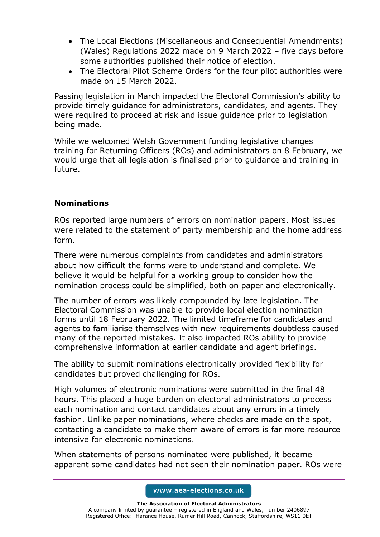- The Local Elections (Miscellaneous and Consequential Amendments) (Wales) Regulations 2022 made on 9 March 2022 – five days before some authorities published their notice of election.
- The Electoral Pilot Scheme Orders for the four pilot authorities were made on 15 March 2022.

Passing legislation in March impacted the Electoral Commission's ability to provide timely guidance for administrators, candidates, and agents. They were required to proceed at risk and issue guidance prior to legislation being made.

While we welcomed Welsh Government funding legislative changes training for Returning Officers (ROs) and administrators on 8 February, we would urge that all legislation is finalised prior to guidance and training in future.

# **Nominations**

ROs reported large numbers of errors on nomination papers. Most issues were related to the statement of party membership and the home address form.

There were numerous complaints from candidates and administrators about how difficult the forms were to understand and complete. We believe it would be helpful for a working group to consider how the nomination process could be simplified, both on paper and electronically.

The number of errors was likely compounded by late legislation. The Electoral Commission was unable to provide local election nomination forms until 18 February 2022. The limited timeframe for candidates and agents to familiarise themselves with new requirements doubtless caused many of the reported mistakes. It also impacted ROs ability to provide comprehensive information at earlier candidate and agent briefings.

The ability to submit nominations electronically provided flexibility for candidates but proved challenging for ROs.

High volumes of electronic nominations were submitted in the final 48 hours. This placed a huge burden on electoral administrators to process each nomination and contact candidates about any errors in a timely fashion. Unlike paper nominations, where checks are made on the spot, contacting a candidate to make them aware of errors is far more resource intensive for electronic nominations.

When statements of persons nominated were published, it became apparent some candidates had not seen their nomination paper. ROs were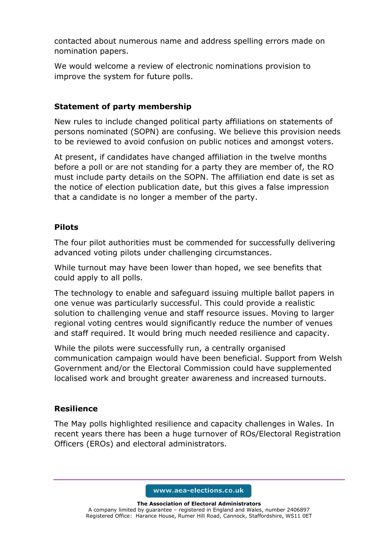contacted about numerous name and address spelling errors made on nomination papers.

We would welcome a review of electronic nominations provision to improve the system for future polls.

# **Statement of party membership**

New rules to include changed political party affiliations on statements of persons nominated (SOPN) are confusing. We believe this provision needs to be reviewed to avoid confusion on public notices and amongst voters.

At present, if candidates have changed affiliation in the twelve months before a poll or are not standing for a party they are member of, the RO must include party details on the SOPN. The affiliation end date is set as the notice of election publication date, but this gives a false impression that a candidate is no longer a member of the party.

# **Pilots**

The four pilot authorities must be commended for successfully delivering advanced voting pilots under challenging circumstances.

While turnout may have been lower than hoped, we see benefits that could apply to all polls.

The technology to enable and safeguard issuing multiple ballot papers in one venue was particularly successful. This could provide a realistic solution to challenging venue and staff resource issues. Moving to larger regional voting centres would significantly reduce the number of venues and staff required. It would bring much needed resilience and capacity.

While the pilots were successfully run, a centrally organised communication campaign would have been beneficial. Support from Welsh Government and/or the Electoral Commission could have supplemented localised work and brought greater awareness and increased turnouts.

## **Resilience**

The May polls highlighted resilience and capacity challenges in Wales. In recent years there has been a huge turnover of ROs/Electoral Registration Officers (EROs) and electoral administrators.

www.aea-elections.co.uk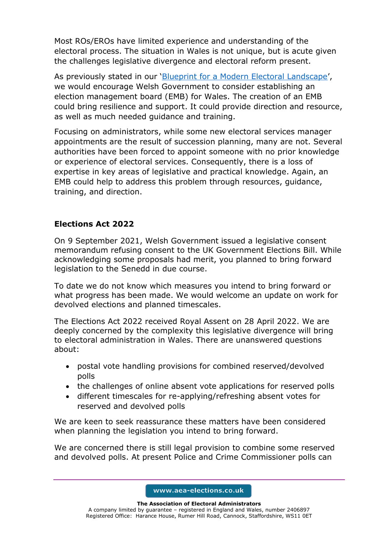Most ROs/EROs have limited experience and understanding of the electoral process. The situation in Wales is not unique, but is acute given the challenges legislative divergence and electoral reform present.

As previously stated in our '[Blueprint for a Modern Electoral Landscape](https://www.aea-elections.co.uk/wp-content/uploads/2021/07/The-AEAs-Blueprint-for-a-Modern-Electoral-Landscape.pdf)', we would encourage Welsh Government to consider establishing an election management board (EMB) for Wales. The creation of an EMB could bring resilience and support. It could provide direction and resource, as well as much needed guidance and training.

Focusing on administrators, while some new electoral services manager appointments are the result of succession planning, many are not. Several authorities have been forced to appoint someone with no prior knowledge or experience of electoral services. Consequently, there is a loss of expertise in key areas of legislative and practical knowledge. Again, an EMB could help to address this problem through resources, guidance, training, and direction.

# **Elections Act 2022**

On 9 September 2021, Welsh Government issued a legislative consent memorandum refusing consent to the UK Government Elections Bill. While acknowledging some proposals had merit, you planned to bring forward legislation to the Senedd in due course.

To date we do not know which measures you intend to bring forward or what progress has been made. We would welcome an update on work for devolved elections and planned timescales.

The Elections Act 2022 received Royal Assent on 28 April 2022. We are deeply concerned by the complexity this legislative divergence will bring to electoral administration in Wales. There are unanswered questions about:

- postal vote handling provisions for combined reserved/devolved polls
- the challenges of online absent vote applications for reserved polls
- different timescales for re-applying/refreshing absent votes for reserved and devolved polls

We are keen to seek reassurance these matters have been considered when planning the legislation you intend to bring forward.

We are concerned there is still legal provision to combine some reserved and devolved polls. At present Police and Crime Commissioner polls can

www.aea-elections.co.uk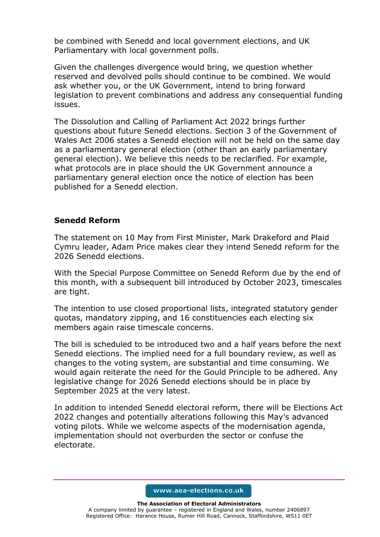be combined with Senedd and local government elections, and UK Parliamentary with local government polls.

Given the challenges divergence would bring, we question whether reserved and devolved polls should continue to be combined. We would ask whether you, or the UK Government, intend to bring forward legislation to prevent combinations and address any consequential funding issues.

The Dissolution and Calling of Parliament Act 2022 brings further questions about future Senedd elections. Section 3 of the Government of Wales Act 2006 states a Senedd election will not be held on the same day as a parliamentary general election (other than an early parliamentary general election). We believe this needs to be reclarified. For example, what protocols are in place should the UK Government announce a parliamentary general election once the notice of election has been published for a Senedd election.

#### **Senedd Reform**

The statement on 10 May from First Minister, Mark Drakeford and Plaid Cymru leader, Adam Price makes clear they intend Senedd reform for the 2026 Senedd elections.

With the Special Purpose Committee on Senedd Reform due by the end of this month, with a subsequent bill introduced by October 2023, timescales are tight.

The intention to use closed proportional lists, integrated statutory gender quotas, mandatory zipping, and 16 constituencies each electing six members again raise timescale concerns.

The bill is scheduled to be introduced two and a half years before the next Senedd elections. The implied need for a full boundary review, as well as changes to the voting system, are substantial and time consuming. We would again reiterate the need for the Gould Principle to be adhered. Any legislative change for 2026 Senedd elections should be in place by September 2025 at the very latest.

In addition to intended Senedd electoral reform, there will be Elections Act 2022 changes and potentially alterations following this May's advanced voting pilots. While we welcome aspects of the modernisation agenda, implementation should not overburden the sector or confuse the electorate.

www.aea-elections.co.uk